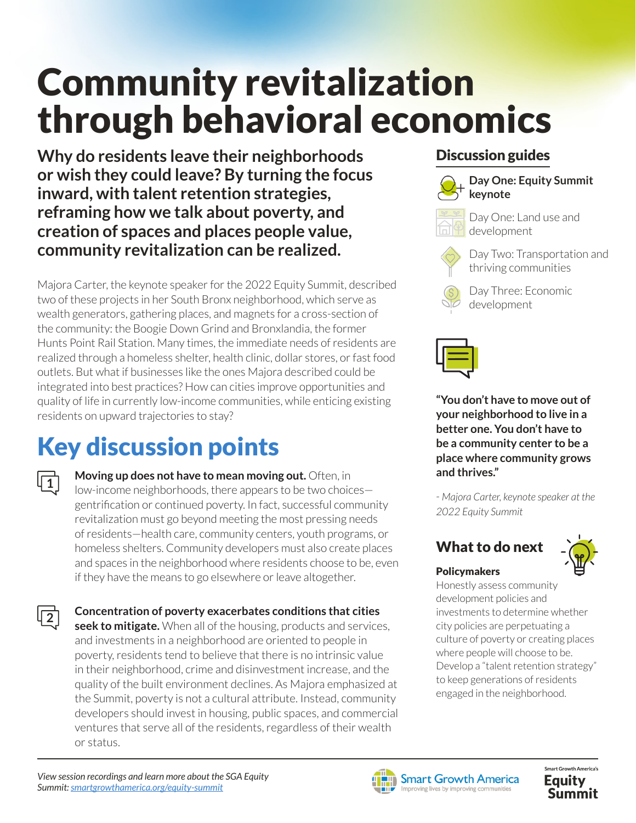# Community revitalization through behavioral economics

**Why do residents leave their neighborhoods or wish they could leave? By turning the focus inward, with talent retention strategies, reframing how we talk about poverty, and creation of spaces and places people value, community revitalization can be realized.**

Majora Carter, the keynote speaker for the 2022 Equity Summit, described two of these projects in her South Bronx neighborhood, which serve as wealth generators, gathering places, and magnets for a cross-section of the community: the Boogie Down Grind and Bronxlandia, the former Hunts Point Rail Station. Many times, the immediate needs of residents are realized through a homeless shelter, health clinic, dollar stores, or fast food outlets. But what if businesses like the ones Majora described could be integrated into best practices? How can cities improve opportunities and quality of life in currently low-income communities, while enticing existing residents on upward trajectories to stay?

# Key discussion points

**1**

**2**

**Moving up does not have to mean moving out.** Often, in low-income neighborhoods, there appears to be two choices gentrification or continued poverty. In fact, successful community revitalization must go beyond meeting the most pressing needs of residents—health care, community centers, youth programs, or homeless shelters. Community developers must also create places and spaces in the neighborhood where residents choose to be, even if they have the means to go elsewhere or leave altogether.

**Concentration of poverty exacerbates conditions that cities seek to mitigate.** When all of the housing, products and services, and investments in a neighborhood are oriented to people in poverty, residents tend to believe that there is no intrinsic value in their neighborhood, crime and disinvestment increase, and the quality of the built environment declines. As Majora emphasized at the Summit, poverty is not a cultural attribute. Instead, community developers should invest in housing, public spaces, and commercial ventures that serve all of the residents, regardless of their wealth or status.

### Discussion guides



**Day One: Equity Summit keynote**



Day One: Land use and development

Day Two: Transportation and thriving communities

Day Three: Economic development



**"You don't have to move out of your neighborhood to live in a better one. You don't have to be a community center to be a place where community grows and thrives."** 

*- Majora Carter, keynote speaker at the 2022 Equity Summit* 

# What to do next



#### Policymakers

Honestly assess community development policies and investments to determine whether city policies are perpetuating a culture of poverty or creating places where people will choose to be. Develop a "talent retention strategy" to keep generations of residents engaged in the neighborhood.